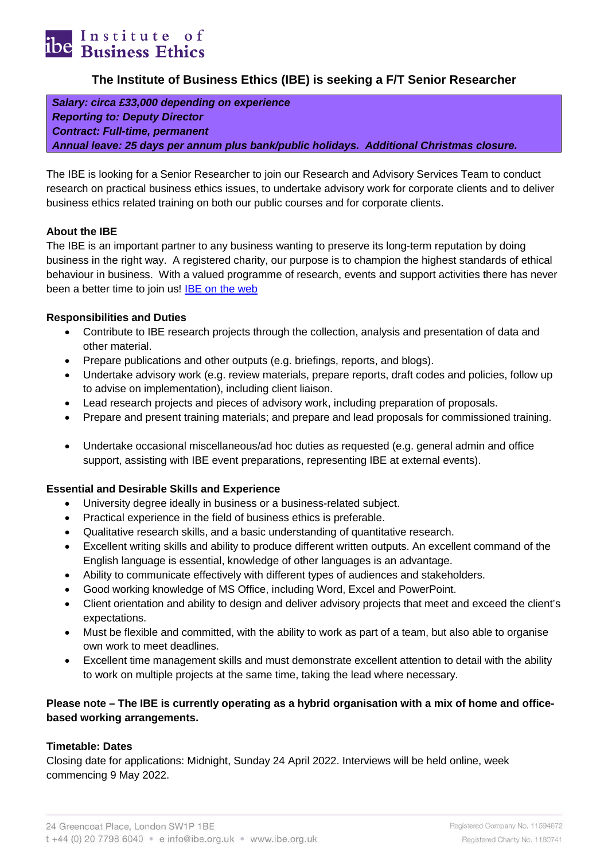

# **The Institute of Business Ethics (IBE) is seeking a F/T Senior Researcher**

*Salary: circa £33,000 depending on experience Reporting to: Deputy Director Contract: Full-time, permanent Annual leave: 25 days per annum plus bank/public holidays. Additional Christmas closure.*

The IBE is looking for a Senior Researcher to join our Research and Advisory Services Team to conduct research on practical business ethics issues, to undertake advisory work for corporate clients and to deliver business ethics related training on both our public courses and for corporate clients.

## **About the IBE**

The IBE is an important partner to any business wanting to preserve its long-term reputation by doing business in the right way. A registered charity, our purpose is to champion the highest standards of ethical behaviour in business. With a valued programme of research, events and support activities there has never been a better time to join us! **IBE** on the web

## **Responsibilities and Duties**

- Contribute to IBE research projects through the collection, analysis and presentation of data and other material.
- Prepare publications and other outputs (e.g. briefings, reports, and blogs).
- Undertake advisory work (e.g. review materials, prepare reports, draft codes and policies, follow up to advise on implementation), including client liaison.
- Lead research projects and pieces of advisory work, including preparation of proposals.
- Prepare and present training materials; and prepare and lead proposals for commissioned training.
- Undertake occasional miscellaneous/ad hoc duties as requested (e.g. general admin and office support, assisting with IBE event preparations, representing IBE at external events).

#### **Essential and Desirable Skills and Experience**

- University degree ideally in business or a business-related subject.
- Practical experience in the field of business ethics is preferable.
- Qualitative research skills, and a basic understanding of quantitative research.
- Excellent writing skills and ability to produce different written outputs. An excellent command of the English language is essential, knowledge of other languages is an advantage.
- Ability to communicate effectively with different types of audiences and stakeholders.
- Good working knowledge of MS Office, including Word, Excel and PowerPoint.
- Client orientation and ability to design and deliver advisory projects that meet and exceed the client's expectations.
- Must be flexible and committed, with the ability to work as part of a team, but also able to organise own work to meet deadlines.
- Excellent time management skills and must demonstrate excellent attention to detail with the ability to work on multiple projects at the same time, taking the lead where necessary.

## **Please note – The IBE is currently operating as a hybrid organisation with a mix of home and officebased working arrangements.**

#### **Timetable: Dates**

Closing date for applications: Midnight, Sunday 24 April 2022. Interviews will be held online, week commencing 9 May 2022.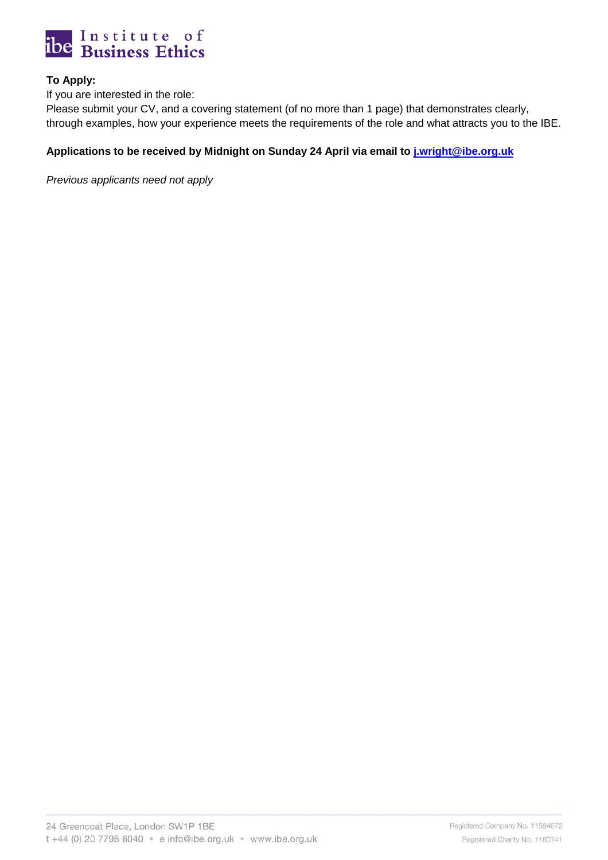

# **To Apply:**

If you are interested in the role:

Please submit your CV, and a covering statement (of no more than 1 page) that demonstrates clearly, through examples, how your experience meets the requirements of the role and what attracts you to the IBE.

## **Applications to be received by Midnight on Sunday 24 April via email to [j.wright@ibe.org.uk](mailto:j.wright@ibe.org.uk)**

*Previous applicants need not apply*